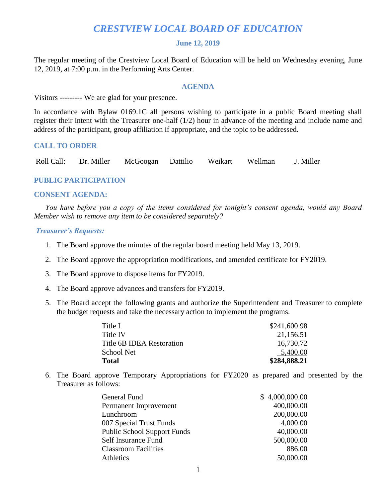# *CRESTVIEW LOCAL BOARD OF EDUCATION*

#### **June 12, 2019**

The regular meeting of the Crestview Local Board of Education will be held on Wednesday evening, June 12, 2019, at 7:00 p.m. in the Performing Arts Center.

#### **AGENDA**

Visitors --------- We are glad for your presence.

In accordance with Bylaw 0169.1C all persons wishing to participate in a public Board meeting shall register their intent with the Treasurer one-half (1/2) hour in advance of the meeting and include name and address of the participant, group affiliation if appropriate, and the topic to be addressed.

## **CALL TO ORDER**

Roll Call: Dr. Miller McGoogan Dattilio Weikart Wellman J. Miller

# **PUBLIC PARTICIPATION**

#### **CONSENT AGENDA:**

 *You have before you a copy of the items considered for tonight's consent agenda, would any Board Member wish to remove any item to be considered separately?*

#### *Treasurer's Requests:*

- 1. The Board approve the minutes of the regular board meeting held May 13, 2019.
- 2. The Board approve the appropriation modifications, and amended certificate for FY2019.
- 3. The Board approve to dispose items for FY2019.
- 4. The Board approve advances and transfers for FY2019.
- 5. The Board accept the following grants and authorize the Superintendent and Treasurer to complete the budget requests and take the necessary action to implement the programs.

| Title I                   | \$241,600.98 |
|---------------------------|--------------|
| Title IV                  | 21,156.51    |
| Title 6B IDEA Restoration | 16,730.72    |
| School Net                | 5,400.00     |
| Total                     | \$284,888.21 |

6. The Board approve Temporary Appropriations for FY2020 as prepared and presented by the Treasurer as follows:

| General Fund                       | \$4,000,000.00 |
|------------------------------------|----------------|
| Permanent Improvement              | 400,000.00     |
| Lunchroom                          | 200,000.00     |
| 007 Special Trust Funds            | 4,000.00       |
| <b>Public School Support Funds</b> | 40,000.00      |
| Self Insurance Fund                | 500,000.00     |
| <b>Classroom Facilities</b>        | 886.00         |
| <b>Athletics</b>                   | 50,000.00      |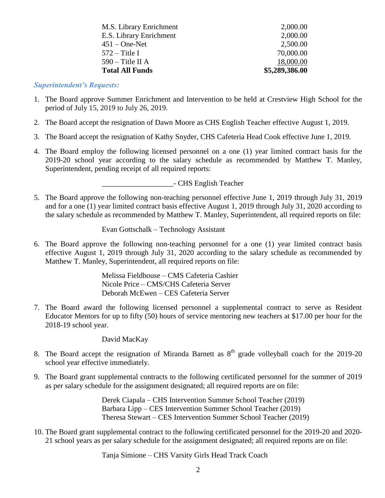| M.S. Library Enrichment | 2,000.00       |
|-------------------------|----------------|
| E.S. Library Enrichment | 2,000.00       |
| $451 - One-Net$         | 2,500.00       |
| $572 -$ Title I         | 70,000.00      |
| $590 -$ Title II A      | 18,000.00      |
| <b>Total All Funds</b>  | \$5,289,386.00 |

#### *Superintendent's Requests:*

- 1. The Board approve Summer Enrichment and Intervention to be held at Crestview High School for the period of July 15, 2019 to July 26, 2019.
- 2. The Board accept the resignation of Dawn Moore as CHS English Teacher effective August 1, 2019.
- 3. The Board accept the resignation of Kathy Snyder, CHS Cafeteria Head Cook effective June 1, 2019.
- 4. The Board employ the following licensed personnel on a one (1) year limited contract basis for the 2019-20 school year according to the salary schedule as recommended by Matthew T. Manley, Superintendent, pending receipt of all required reports:

\_\_\_\_\_\_\_\_\_\_\_\_\_\_\_\_\_\_\_- CHS English Teacher

5. The Board approve the following non-teaching personnel effective June 1, 2019 through July 31, 2019 and for a one (1) year limited contract basis effective August 1, 2019 through July 31, 2020 according to the salary schedule as recommended by Matthew T. Manley, Superintendent, all required reports on file:

Evan Gottschalk – Technology Assistant

6. The Board approve the following non-teaching personnel for a one (1) year limited contract basis effective August 1, 2019 through July 31, 2020 according to the salary schedule as recommended by Matthew T. Manley, Superintendent, all required reports on file:

> Melissa Fieldhouse – CMS Cafeteria Cashier Nicole Price – CMS/CHS Cafeteria Server Deborah McEwen – CES Cafeteria Server

7. The Board award the following licensed personnel a supplemental contract to serve as Resident Educator Mentors for up to fifty (50) hours of service mentoring new teachers at \$17.00 per hour for the 2018-19 school year.

David MacKay

- 8. The Board accept the resignation of Miranda Barnett as  $8<sup>th</sup>$  grade volleyball coach for the 2019-20 school year effective immediately.
- 9. The Board grant supplemental contracts to the following certificated personnel for the summer of 2019 as per salary schedule for the assignment designated; all required reports are on file:

Derek Ciapala – CHS Intervention Summer School Teacher (2019) Barbara Lipp – CES Intervention Summer School Teacher (2019) Theresa Stewart – CES Intervention Summer School Teacher (2019)

10. The Board grant supplemental contract to the following certificated personnel for the 2019-20 and 2020- 21 school years as per salary schedule for the assignment designated; all required reports are on file:

Tanja Simione – CHS Varsity Girls Head Track Coach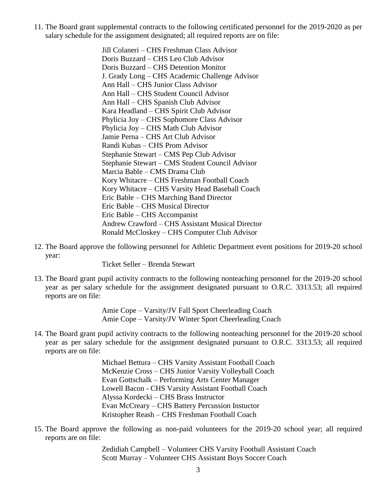11. The Board grant supplemental contracts to the following certificated personnel for the 2019-2020 as per salary schedule for the assignment designated; all required reports are on file:

> Jill Colaneri – CHS Freshman Class Advisor Doris Buzzard – CHS Leo Club Advisor Doris Buzzard – CHS Detention Monitor J. Grady Long – CHS Academic Challenge Advisor Ann Hall – CHS Junior Class Advisor Ann Hall – CHS Student Council Advisor Ann Hall – CHS Spanish Club Advisor Kara Headland – CHS Spirit Club Advisor Phylicia Joy – CHS Sophomore Class Advisor Phylicia Joy – CHS Math Club Advisor Jamie Perna – CHS Art Club Advisor Randi Kubas – CHS Prom Advisor Stephanie Stewart – CMS Pep Club Advisor Stephanie Stewart – CMS Student Council Advisor Marcia Bable – CMS Drama Club Kory Whitacre – CHS Freshman Football Coach Kory Whitacre – CHS Varsity Head Baseball Coach Eric Bable – CHS Marching Band Director Eric Bable – CHS Musical Director Eric Bable – CHS Accompanist Andrew Crawford – CHS Assistant Musical Director Ronald McCloskey – CHS Computer Club Advisor

12. The Board approve the following personnel for Athletic Department event positions for 2019-20 school year:

Ticket Seller – Brenda Stewart

13. The Board grant pupil activity contracts to the following nonteaching personnel for the 2019-20 school year as per salary schedule for the assignment designated pursuant to O.R.C. 3313.53; all required reports are on file:

> Amie Cope – Varsity/JV Fall Sport Cheerleading Coach Amie Cope – Varsity/JV Winter Sport Cheerleading Coach

14. The Board grant pupil activity contracts to the following nonteaching personnel for the 2019-20 school year as per salary schedule for the assignment designated pursuant to O.R.C. 3313.53; all required reports are on file:

> Michael Bettura – CHS Varsity Assistant Football Coach McKenzie Cross – CHS Junior Varsity Volleyball Coach Evan Gottschalk – Performing Arts Center Manager Lowell Bacon - CHS Varsity Assistant Football Coach Alyssa Kordecki – CHS Brass Instructor Evan McCreary – CHS Battery Percussion Instuctor Kristopher Reash – CHS Freshman Football Coach

15. The Board approve the following as non-paid volunteers for the 2019-20 school year; all required reports are on file:

> Zedidiah Campbell – Volunteer CHS Varsity Football Assistant Coach Scott Murray – Volunteer CHS Assistant Boys Soccer Coach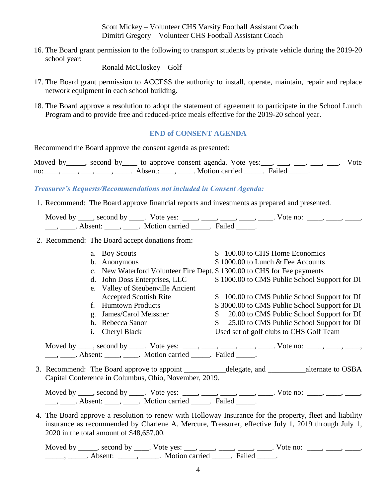Scott Mickey – Volunteer CHS Varsity Football Assistant Coach Dimitri Gregory – Volunteer CHS Football Assistant Coach

16. The Board grant permission to the following to transport students by private vehicle during the 2019-20 school year:

Ronald McCloskey – Golf

- 17. The Board grant permission to ACCESS the authority to install, operate, maintain, repair and replace network equipment in each school building.
- 18. The Board approve a resolution to adopt the statement of agreement to participate in the School Lunch Program and to provide free and reduced-price meals effective for the 2019-20 school year.

# **END of CONSENT AGENDA**

Recommend the Board approve the consent agenda as presented:

Moved by second by to approve consent agenda. Vote yes:  $\Box$ ,  $\Box$ ,  $\Box$ ,  $\Box$ ,  $\Box$ . Vote no: \_\_\_\_, \_\_\_, \_\_\_, \_\_\_\_, Absent: \_\_\_\_, \_\_\_\_. Motion carried \_\_\_\_\_. Failed \_\_\_\_\_.

## *Treasurer's Requests/Recommendations not included in Consent Agenda:*

1. Recommend: The Board approve financial reports and investments as prepared and presented.

Moved by \_\_\_\_, second by \_\_\_\_. Vote yes: \_\_\_\_, \_\_\_\_, \_\_\_\_, \_\_\_\_, \_\_\_\_. Vote no: \_\_\_\_, \_\_\_\_, \_\_\_\_, \_\_\_, \_\_\_\_. Absent: \_\_\_\_, \_\_\_\_. Motion carried \_\_\_\_\_. Failed \_\_\_\_\_.

2. Recommend: The Board accept donations from:

|    | a. Boy Scouts                                                           | \$100.00 to CHS Home Economics                |
|----|-------------------------------------------------------------------------|-----------------------------------------------|
|    | b. Anonymous                                                            | \$1000.00 to Lunch & Fee Accounts             |
|    | c. New Waterford Volunteer Fire Dept. \$1300.00 to CHS for Fee payments |                                               |
|    | d. John Doss Enterprises, LLC                                           | \$1000.00 to CMS Public School Support for DI |
|    | e. Valley of Steubenville Ancient                                       |                                               |
|    | <b>Accepted Scottish Rite</b>                                           | \$ 100.00 to CMS Public School Support for DI |
|    | <b>Humtown Products</b>                                                 | \$3000.00 to CMS Public School Support for DI |
| g. | James/Carol Meissner                                                    | 20.00 to CMS Public School Support for DI     |
|    | h. Rebecca Sanor                                                        | 25.00 to CMS Public School Support for DI     |
|    | <b>Cheryl Black</b>                                                     | Used set of golf clubs to CHS Golf Team       |
|    |                                                                         |                                               |

Moved by  $\underline{\hspace{1cm}}$ , second by  $\underline{\hspace{1cm}}$ . Vote yes:  $\underline{\hspace{1cm}}$ ,  $\underline{\hspace{1cm}}$ ,  $\underline{\hspace{1cm}}$ ,  $\underline{\hspace{1cm}}$ ,  $\underline{\hspace{1cm}}$ ,  $\underline{\hspace{1cm}}$ ,  $\underline{\hspace{1cm}}$ . Vote no:  $\underline{\hspace{1cm}}$ ,  $\underline{\hspace{1cm}}$ ,  $\underline{\hspace{1cm}}$ ,  $\underline{\hspace{1cm}}$ , \_\_\_, \_\_\_\_\_. Absent: \_\_\_\_\_, \_\_\_\_\_. Motion carried \_\_\_\_\_\_. Failed \_\_\_\_\_.

3. Recommend: The Board approve to appoint \_\_\_\_\_\_\_\_\_\_\_delegate, and \_\_\_\_\_\_\_\_\_\_alternate to OSBA Capital Conference in Columbus, Ohio, November, 2019.

Moved by \_\_\_\_, second by \_\_\_\_. Vote yes: \_\_\_\_, \_\_\_\_, \_\_\_\_, \_\_\_\_, \_\_\_\_. Vote no: \_\_\_\_, \_\_\_\_, \_\_\_\_, \_\_\_, \_\_\_\_. Absent: \_\_\_\_, \_\_\_\_. Motion carried \_\_\_\_\_. Failed \_\_\_\_\_.

4. The Board approve a resolution to renew with Holloway Insurance for the property, fleet and liability insurance as recommended by Charlene A. Mercure, Treasurer, effective July 1, 2019 through July 1, 2020 in the total amount of \$48,657.00.

Moved by \_\_\_\_, second by \_\_\_\_. Vote yes: \_\_\_, \_\_\_\_, \_\_\_\_, \_\_\_\_, \_\_\_\_. Vote no:  $\_\_\_\_\_\_\_\_$ \_\_\_\_\_\_\_, \_\_\_\_\_\_. Absent: \_\_\_\_\_\_, \_\_\_\_\_\_. Motion carried \_\_\_\_\_\_. Failed \_\_\_\_\_.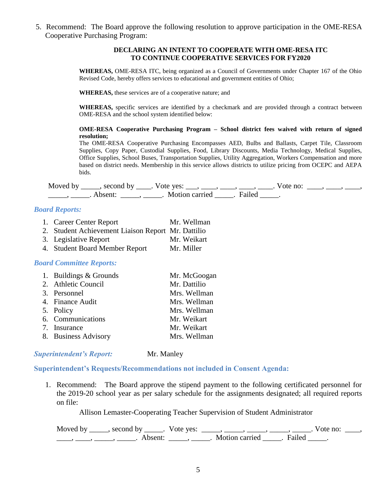5. Recommend: The Board approve the following resolution to approve participation in the OME-RESA Cooperative Purchasing Program:

#### **DECLARING AN INTENT TO COOPERATE WITH OME-RESA ITC TO CONTINUE COOPERATIVE SERVICES FOR FY2020**

**WHEREAS,** OME-RESA ITC, being organized as a Council of Governments under Chapter 167 of the Ohio Revised Code, hereby offers services to educational and government entities of Ohio;

**WHEREAS,** these services are of a cooperative nature; and

**WHEREAS,** specific services are identified by a checkmark and are provided through a contract between OME-RESA and the school system identified below:

#### **OME-RESA Cooperative Purchasing Program – School district fees waived with return of signed resolution;**

The OME-RESA Cooperative Purchasing Encompasses AED, Bulbs and Ballasts, Carpet Tile, Classroom Supplies, Copy Paper, Custodial Supplies, Food, Library Discounts, Media Technology, Medical Supplies, Office Supplies, School Buses, Transportation Supplies, Utility Aggregation, Workers Compensation and more based on district needs. Membership in this service allows districts to utilize pricing from OCEPC and AEPA bids.

Moved by \_\_\_\_, second by \_\_\_\_. Vote yes: \_\_\_, \_\_\_\_, \_\_\_\_, \_\_\_\_, \_\_\_\_. Vote no: \_\_\_\_, \_\_\_\_, \_\_\_\_, \_\_\_\_\_\_\_, \_\_\_\_\_\_. Absent: \_\_\_\_\_\_, \_\_\_\_\_\_. Motion carried \_\_\_\_\_\_. Failed \_\_\_\_\_\_.

### *Board Reports:*

- 1. Career Center Report Mr. Wellman
- 2. Student Achievement Liaison Report Mr. Dattilio
- 3. Legislative Report Mr. Weikart
- 4. Student Board Member Report Mr. Miller

## *Board Committee Reports:*

| 1. Buildings & Grounds | Mr. McGoogan |
|------------------------|--------------|
| 2. Athletic Council    | Mr. Dattilio |
| 3. Personnel           | Mrs. Wellman |
| 4. Finance Audit       | Mrs. Wellman |
| 5. Policy              | Mrs. Wellman |
| 6. Communications      | Mr. Weikart  |
| 7. Insurance           | Mr. Weikart  |
| 8. Business Advisory   | Mrs. Wellman |

### **Superintendent's Report:** Mr. Manley

## **Superintendent's Requests/Recommendations not included in Consent Agenda:**

1. Recommend: The Board approve the stipend payment to the following certificated personnel for the 2019-20 school year as per salary schedule for the assignments designated; all required reports on file:

Allison Lemaster-Cooperating Teacher Supervision of Student Administrator

Moved by \_\_\_\_\_, second by \_\_\_\_\_. Vote yes:  $\_\_\_\_\_\_\_\_\_\_\_\_\_\_\_\_\_\_\_$  \_\_\_\_, \_\_\_\_, \_\_\_\_. Vote no:  $\_\_\_\_\_\$ \_\_\_\_\_, \_\_\_\_\_\_, \_\_\_\_\_\_\_. Absent: \_\_\_\_\_\_, \_\_\_\_\_\_. Motion carried \_\_\_\_\_\_. Failed \_\_\_\_\_.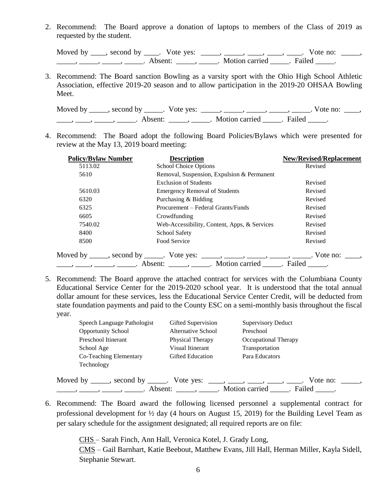2. Recommend: The Board approve a donation of laptops to members of the Class of 2019 as requested by the student.

Moved by  $\_\_\_\_$ , second by  $\_\_\_\_$ . Vote yes:  $\_\_\_\_\_\_\_\_\_\_\_\_\_\_\_\_\_\_\_\_\_$ .  $\_\_\_\_\_\_\_\_\_\_\_\_\_\_\_\_$  Vote no:  $\_\_\_\_\_\_\$ \_\_\_\_\_\_\_, \_\_\_\_\_\_, \_\_\_\_\_\_\_. Absent: \_\_\_\_\_\_, \_\_\_\_\_\_. Motion carried \_\_\_\_\_\_. Failed \_\_\_\_\_.

3. Recommend: The Board sanction Bowling as a varsity sport with the Ohio High School Athletic Association, effective 2019-20 season and to allow participation in the 2019-20 OHSAA Bowling Meet.

Moved by \_\_\_\_\_, second by \_\_\_\_\_. Vote yes: \_\_\_\_\_, \_\_\_\_\_, \_\_\_\_\_, \_\_\_\_\_, \_\_\_\_\_. Vote no: \_\_\_\_, \_\_\_\_, \_\_\_\_, \_\_\_\_\_, Absent: \_\_\_\_\_, \_\_\_\_\_. Motion carried \_\_\_\_\_. Failed \_\_\_\_\_.

4. Recommend: The Board adopt the following Board Policies/Bylaws which were presented for review at the May 13, 2019 board meeting:

| <b>Policy/Bylaw Number</b> | <b>Description</b>                                                                         | <b>New/Revised/Replacement</b> |
|----------------------------|--------------------------------------------------------------------------------------------|--------------------------------|
| 5113.02                    | <b>School Choice Options</b>                                                               | Revised                        |
| 5610                       | Removal, Suspension, Expulsion & Permanent                                                 |                                |
|                            | <b>Exclusion of Students</b>                                                               | Revised                        |
| 5610.03                    | <b>Emergency Removal of Students</b>                                                       | Revised                        |
| 6320                       | Purchasing & Bidding                                                                       | Revised                        |
| 6325                       | Procurement – Federal Grants/Funds                                                         | Revised                        |
| 6605                       | Crowdfunding                                                                               | Revised                        |
| 7540.02                    | Web-Accessibility, Content, Apps, & Services                                               | Revised                        |
| 8400                       | <b>School Safety</b>                                                                       | Revised                        |
| 8500                       | Food Service                                                                               | Revised                        |
|                            | Moved by ______, second by ______. Vote yes: ______, ______, ______, ______. Vote no: ____ |                                |
|                            |                                                                                            | Failed .                       |

5. Recommend: The Board approve the attached contract for services with the Columbiana County Educational Service Center for the 2019-2020 school year. It is understood that the total annual dollar amount for these services, less the Educational Service Center Credit, will be deducted from state foundation payments and paid to the County ESC on a semi-monthly basis throughout the fiscal year.

| Speech Language Pathologist      | Gifted Supervision      | <b>Supervisory Deduct</b> |
|----------------------------------|-------------------------|---------------------------|
| <b>Opportunity School</b>        | Alternative School      | Preschool                 |
| Preschool Itinerant              | Physical Therapy        | Occupational Therapy      |
| School Age                       | Visual Itinerant        | Transportation            |
| Co-Teaching Elementary           | <b>Gifted Education</b> | Para Educators            |
| Technology                       |                         |                           |
| Moved by _____, second by _____. | Vote yes:               | Vote no:                  |
|                                  | Absent: $\_\_\_\_\_\_\$ | Motion carried<br>Failed  |

6. Recommend: The Board award the following licensed personnel a supplemental contract for professional development for ½ day (4 hours on August 15, 2019) for the Building Level Team as per salary schedule for the assignment designated; all required reports are on file:

CHS – Sarah Finch, Ann Hall, Veronica Kotel, J. Grady Long,

CMS – Gail Barnhart, Katie Beebout, Matthew Evans, Jill Hall, Herman Miller, Kayla Sidell, Stephanie Stewart.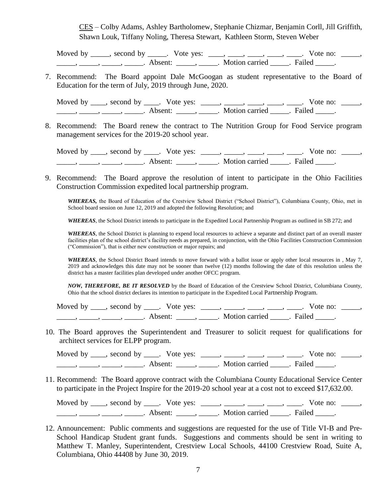CES – Colby Adams, Ashley Bartholomew, Stephanie Chizmar, Benjamin Corll, Jill Griffith, Shawn Louk, Tiffany Noling, Theresa Stewart, Kathleen Storm, Steven Weber

Moved by \_\_\_\_\_, second by \_\_\_\_\_. Vote yes: \_\_\_\_, \_\_\_\_, \_\_\_\_, \_\_\_\_, \_\_\_\_. Vote no: \_\_\_\_\_, \_\_\_\_\_\_\_, \_\_\_\_\_\_, \_\_\_\_\_\_\_. Absent: \_\_\_\_\_\_, \_\_\_\_\_\_. Motion carried \_\_\_\_\_\_. Failed \_\_\_\_\_.

7. Recommend: The Board appoint Dale McGoogan as student representative to the Board of Education for the term of July, 2019 through June, 2020.

Moved by  $\_\_\_\_$ , second by  $\_\_\_\_$ . Vote yes:  $\_\_\_\_\_\_\_\_\_\_\_\_\_\_\_\_\_\_\_\_\_$ .  $\_\_\_\_\_\_\_\_\_\_\_\_\_\_\_\_$  Vote no:  $\_\_\_\_\_\_\$ \_\_\_\_\_\_\_, \_\_\_\_\_\_, \_\_\_\_\_\_\_. Absent: \_\_\_\_\_\_, \_\_\_\_\_\_. Motion carried \_\_\_\_\_\_. Failed \_\_\_\_\_.

8. Recommend: The Board renew the contract to The Nutrition Group for Food Service program management services for the 2019-20 school year.

Moved by \_\_\_\_, second by \_\_\_\_. Vote yes: \_\_\_\_\_, \_\_\_\_\_, \_\_\_\_, \_\_\_\_, \_\_\_\_. Vote no: \_\_\_\_\_, \_\_\_\_\_, \_\_\_\_\_, \_\_\_\_\_, \_\_\_\_\_. Absent: \_\_\_\_\_, \_\_\_\_\_. Motion carried \_\_\_\_\_. Failed \_\_\_\_\_.

9. Recommend: The Board approve the resolution of intent to participate in the Ohio Facilities Construction Commission expedited local partnership program.

*WHEREAS,* the Board of Education of the Crestview School District ("School District"), Columbiana County, Ohio, met in School board session on June 12, 2019 and adopted the following Resolution; and

*WHEREAS*, the School District intends to participate in the Expedited Local Partnership Program as outlined in SB 272; and

*WHEREAS*, the School District is planning to expend local resources to achieve a separate and distinct part of an overall master facilities plan of the school district's facility needs as prepared, in conjunction, with the Ohio Facilities Construction Commission ("Commission"), that is either new construction or major repairs; and

*WHEREAS*, the School District Board intends to move forward with a ballot issue or apply other local resources in , May 7, 2019 and acknowledges this date may not be sooner than twelve (12) months following the date of this resolution unless the district has a master facilities plan developed under another OFCC program.

*NOW, THEREFORE, BE IT RESOLVED* by the Board of Education of the Crestview School District, Columbiana County, Ohio that the school district declares its intention to participate in the Expedited Local Partnership Program.

Moved by \_\_\_\_, second by \_\_\_\_. Vote yes: \_\_\_\_\_, \_\_\_\_, \_\_\_\_, \_\_\_\_, \_\_\_\_. Vote no: \_\_\_\_\_, example a mode of the second of the second of the second of the second of the second of the second of the second of the second of the second of the second of the second of the second of the second of the second of the seco

10. The Board approves the Superintendent and Treasurer to solicit request for qualifications for architect services for ELPP program.

Moved by \_\_\_\_, second by \_\_\_\_. Vote yes: \_\_\_\_\_, \_\_\_\_, \_\_\_\_, \_\_\_\_, \_\_\_\_. Vote no: \_\_\_\_\_, \_\_\_\_\_, \_\_\_\_\_, \_\_\_\_\_, \_\_\_\_\_. Absent: \_\_\_\_\_, \_\_\_\_\_. Motion carried \_\_\_\_\_. Failed \_\_\_\_\_.

11. Recommend: The Board approve contract with the Columbiana County Educational Service Center to participate in the Project Inspire for the 2019-20 school year at a cost not to exceed \$17,632.00.

Moved by \_\_\_\_, second by \_\_\_\_. Vote yes: \_\_\_\_\_, \_\_\_\_\_, \_\_\_\_, \_\_\_\_, \_\_\_\_. Vote no: \_\_\_\_\_, —, ——, ——, ——, Absent: \_\_\_\_, \_\_\_\_. Motion carried \_\_\_\_. Failed \_\_\_\_.

12. Announcement: Public comments and suggestions are requested for the use of Title VI-B and Pre-School Handicap Student grant funds. Suggestions and comments should be sent in writing to Matthew T. Manley, Superintendent, Crestview Local Schools, 44100 Crestview Road, Suite A, Columbiana, Ohio 44408 by June 30, 2019.